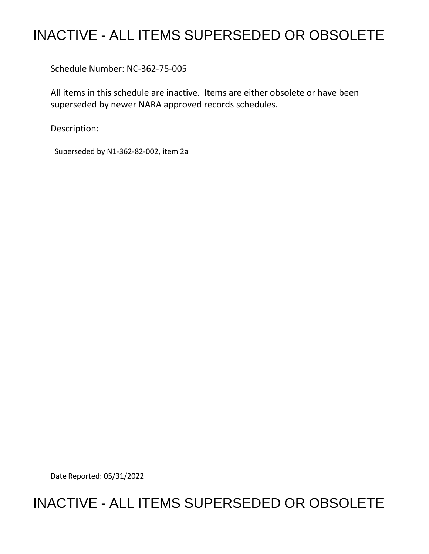## INACTIVE - ALL ITEMS SUPERSEDED OR OBSOLETE

Schedule Number: NC-362-75-005

 All items in this schedule are inactive. Items are either obsolete or have been superseded by newer NARA approved records schedules.

Description:

Superseded by N1-362-82-002, item 2a

Date Reported: 05/31/2022

## INACTIVE - ALL ITEMS SUPERSEDED OR OBSOLETE